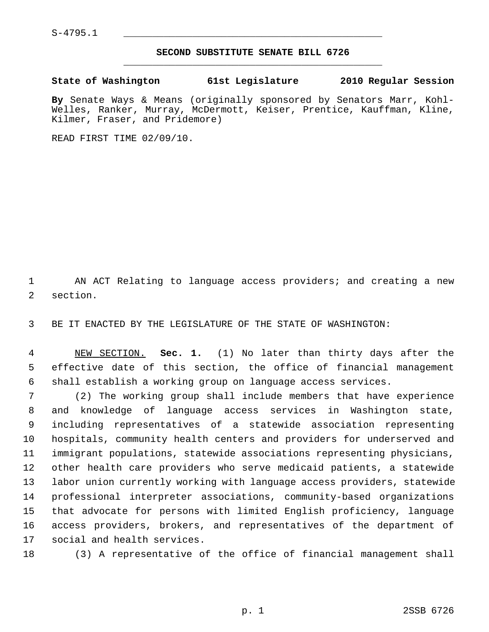$S-4795.1$ 

## **SECOND SUBSTITUTE SENATE BILL 6726** \_\_\_\_\_\_\_\_\_\_\_\_\_\_\_\_\_\_\_\_\_\_\_\_\_\_\_\_\_\_\_\_\_\_\_\_\_\_\_\_\_\_\_\_\_

**State of Washington 61st Legislature 2010 Regular Session**

**By** Senate Ways & Means (originally sponsored by Senators Marr, Kohl-Welles, Ranker, Murray, McDermott, Keiser, Prentice, Kauffman, Kline, Kilmer, Fraser, and Pridemore)

READ FIRST TIME 02/09/10.

 1 AN ACT Relating to language access providers; and creating a new 2 section.

3 BE IT ENACTED BY THE LEGISLATURE OF THE STATE OF WASHINGTON:

 4 NEW SECTION. **Sec. 1.** (1) No later than thirty days after the 5 effective date of this section, the office of financial management 6 shall establish a working group on language access services.

 7 (2) The working group shall include members that have experience 8 and knowledge of language access services in Washington state, 9 including representatives of a statewide association representing 10 hospitals, community health centers and providers for underserved and 11 immigrant populations, statewide associations representing physicians, 12 other health care providers who serve medicaid patients, a statewide 13 labor union currently working with language access providers, statewide 14 professional interpreter associations, community-based organizations 15 that advocate for persons with limited English proficiency, language 16 access providers, brokers, and representatives of the department of 17 social and health services.

18 (3) A representative of the office of financial management shall